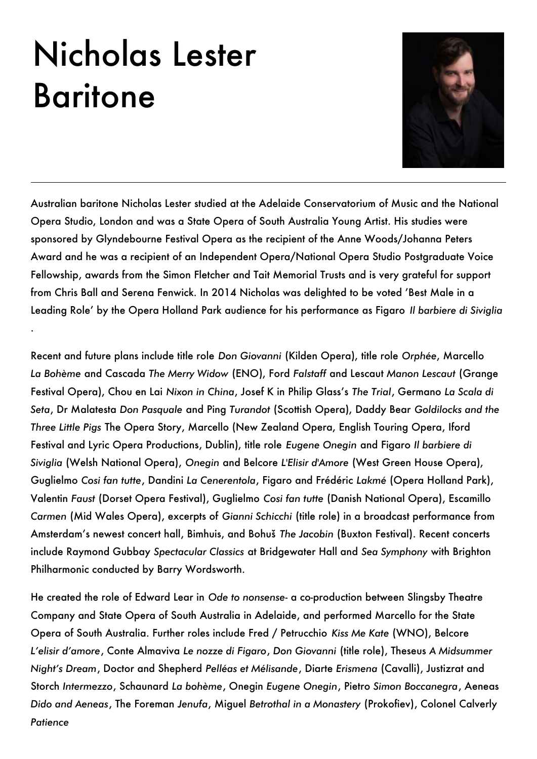## Nicholas Lester Baritone

.



Australian baritone Nicholas Lester studied at the Adelaide Conservatorium of Music and the National Opera Studio, London and was a State Opera of South Australia Young Artist. His studies were sponsored by Glyndebourne Festival Opera as the recipient of the Anne Woods/Johanna Peters Award and he was a recipient of an Independent Opera/National Opera Studio Postgraduate Voice Fellowship, awards from the Simon Fletcher and Tait Memorial Trusts and is very grateful for support from Chris Ball and Serena Fenwick. In 2014 Nicholas was delighted to be voted 'Best Male in a Leading Role' by the Opera Holland Park audience for his performance as Figaro *Il barbiere di Siviglia*

Recent and future plans include title role *Don Giovanni* (Kilden Opera), title role *Orphée*, Marcello *La Bohème* and Cascada *The Merry Widow* (ENO), Ford *Falstaff* and Lescaut *Manon Lescaut* (Grange Festival Opera), Chou en Lai *Nixon in China*, Josef K in Philip Glass's *The Trial*' Germano *La Scala di Seta*' Dr Malatesta *Don Pasquale* and Ping *Turandot* (Scottish Opera), Daddy Bear *Goldilocks and the Three Little Pigs* The Opera Story, Marcello (New Zealand Opera, English Touring Opera, Iford Festival and Lyric Opera Productions' Dublin), title role *Eugene Onegin* and Figaro *Il barbiere di*  Siviglia (Welsh National Opera), Onegin and Belcore L'Elisir d'Amore (West Green House Opera), Guglielmo *Cosi fan tutte, Dandini La Cenerentola*, Figaro and Frédéric Lakmé (Opera Holland Park), Valentin *Faust* (Dorset Opera Festival), Guglielmo *Cosi fan tutte* (Danish National Opera), Escamillo Carmen (Mid Wales Opera), excerpts of *Gianni Schicchi* (title role) in a broadcast performance from Amsterdam's newest concert hall, Bimhuis, and Bohuš The Jacobin (Buxton Festival). Recent concerts include Raymond Gubbay *Spectacular Classics* at Bridgewater Hall and *Sea Symphony* with Brighton Philharmonic conducted by Barry Wordsworth.

He created the role of Edward Lear in *Ode to nonsense*- a co-production between Slingsby Theatre Company and State Opera of South Australia in Adelaide, and performed Marcello for the State Opera of South Australia. Further roles include Fred / Petrucchio *Kiss Me Kate* (WNO), Belcore *L'elisir d'amore*' Conte Almaviva *Le nozze di Figaro*' *Don Giovanni* (title role)' Theseus *A Midsummer Night's Dream*, Doctor and Shepherd *Pelléas et Mélisande*, Diarte *Erismena* (Cavalli), Justizrat and Storch Intermezzo, Schaunard La bohème, Onegin Eugene Onegin, Pietro Simon Boccanegra, Aeneas *Dido and Aeneas*' The Foreman *Jenufa*' Miguel *Betrothal in a Monastery* (Prokofiev)' Colonel Calverly *Patience*